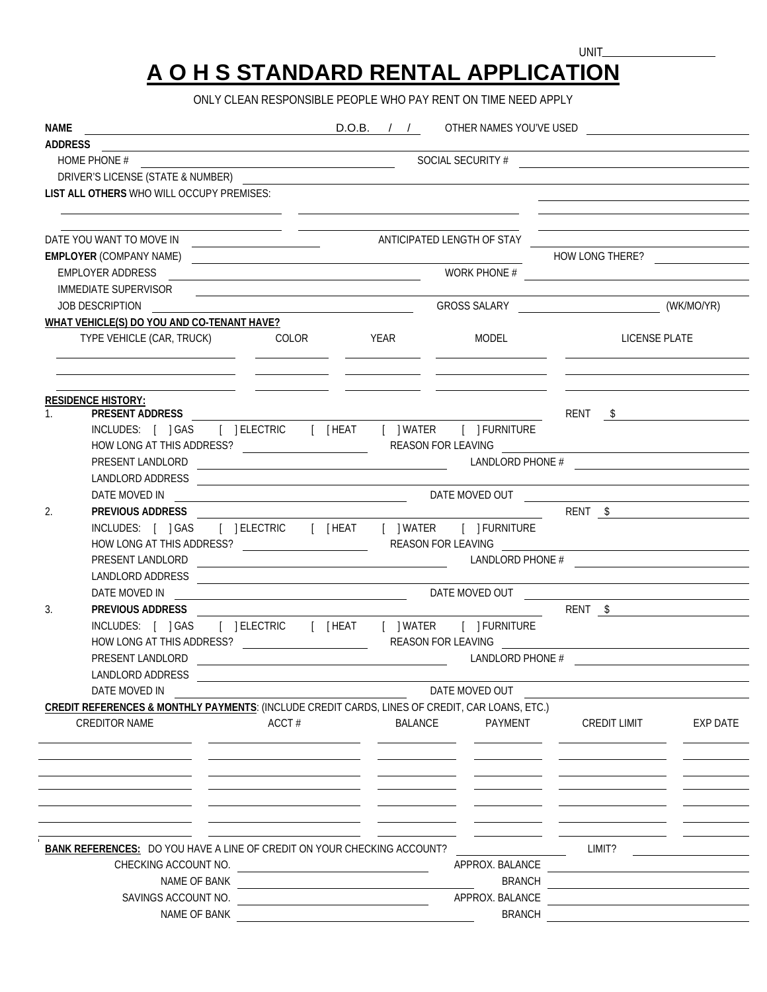## **A O H S STANDARD RENTAL APPLICATION**

UNIT\_

ONLY CLEAN RESPONSIBLE PEOPLE WHO PAY RENT ON TIME NEED APPLY

| <b>NAME</b>                                                                                                                       | <u> 1989 - Johann Barn, mars ar breithinn ar breithinn ar breithinn ar breithinn ar breithinn ar breithinn ar br</u> |                                                                                                                                                                                                                                      |                |                 | D.O.B. / / OTHER NAMES YOU'VE USED                                                                                         |          |  |  |
|-----------------------------------------------------------------------------------------------------------------------------------|----------------------------------------------------------------------------------------------------------------------|--------------------------------------------------------------------------------------------------------------------------------------------------------------------------------------------------------------------------------------|----------------|-----------------|----------------------------------------------------------------------------------------------------------------------------|----------|--|--|
| ADDRESS<br><u> 1980 - Johann Stoff, deutscher Stoffen und der Stoffen und der Stoffen und der Stoffen und der Stoffen und der</u> |                                                                                                                      |                                                                                                                                                                                                                                      |                |                 |                                                                                                                            |          |  |  |
|                                                                                                                                   |                                                                                                                      |                                                                                                                                                                                                                                      |                |                 |                                                                                                                            |          |  |  |
|                                                                                                                                   | LIST ALL OTHERS WHO WILL OCCUPY PREMISES:                                                                            |                                                                                                                                                                                                                                      |                |                 |                                                                                                                            |          |  |  |
|                                                                                                                                   |                                                                                                                      |                                                                                                                                                                                                                                      |                |                 | <u> The Communication of the Communication of the Communication of the Communication of the Communication of the Co</u>    |          |  |  |
|                                                                                                                                   |                                                                                                                      |                                                                                                                                                                                                                                      |                |                 | <u> 1980 - Johann Barbara, martxa alemaniar arg</u>                                                                        |          |  |  |
|                                                                                                                                   |                                                                                                                      |                                                                                                                                                                                                                                      |                |                 | <b>HOW LONG THERE?</b>                                                                                                     |          |  |  |
|                                                                                                                                   | <b>EMPLOYER ADDRESS</b>                                                                                              |                                                                                                                                                                                                                                      |                |                 | WORK PHONE #                                                                                                               |          |  |  |
|                                                                                                                                   | <b>IMMEDIATE SUPERVISOR</b>                                                                                          | <u> Andreas Andreas Andreas Andreas Andreas Andreas Andreas Andreas Andreas Andreas Andreas Andreas Andreas Andreas Andreas Andreas Andreas Andreas Andreas Andreas Andreas Andreas Andreas Andreas Andreas Andreas Andreas Andr</u> |                |                 |                                                                                                                            |          |  |  |
|                                                                                                                                   | JOB DESCRIPTION                                                                                                      |                                                                                                                                                                                                                                      |                |                 | GROSS SALARY WELMONDER (WELMONDER)                                                                                         |          |  |  |
|                                                                                                                                   | WHAT VEHICLE(S) DO YOU AND CO-TENANT HAVE?                                                                           |                                                                                                                                                                                                                                      |                |                 |                                                                                                                            |          |  |  |
| TYPE VEHICLE (CAR, TRUCK) COLOR TEAR THE MODEL                                                                                    |                                                                                                                      |                                                                                                                                                                                                                                      |                |                 | LICENSE PLATE<br><u> 1990 - Andrea Maria (h. 1980).</u> Andrea Andrea Andrea Andrea (h. 1980).                             |          |  |  |
|                                                                                                                                   |                                                                                                                      |                                                                                                                                                                                                                                      |                |                 |                                                                                                                            |          |  |  |
|                                                                                                                                   | <b>RESIDENCE HISTORY:</b>                                                                                            |                                                                                                                                                                                                                                      |                |                 |                                                                                                                            |          |  |  |
| $1_{-}$                                                                                                                           |                                                                                                                      |                                                                                                                                                                                                                                      |                |                 |                                                                                                                            |          |  |  |
|                                                                                                                                   | INCLUDES: [ ] GAS [ ] ELECTRIC [ [ HEAT [ ] WATER [ ] FURNITURE                                                      |                                                                                                                                                                                                                                      |                |                 |                                                                                                                            |          |  |  |
|                                                                                                                                   |                                                                                                                      |                                                                                                                                                                                                                                      |                |                 |                                                                                                                            |          |  |  |
|                                                                                                                                   |                                                                                                                      |                                                                                                                                                                                                                                      |                |                 |                                                                                                                            |          |  |  |
|                                                                                                                                   | LANDLORD ADDRESS<br>DATE MOVED IN                                                                                    |                                                                                                                                                                                                                                      |                |                 | DATE MOVED OUT <b>And the COVE COVERENT COVERENT COVERENT COVERENT</b> COVERENT <b>COVERENT COVERENT COVERENT COVERENT</b> |          |  |  |
| $\overline{2}$ .                                                                                                                  | PREVIOUS ADDRESS                                                                                                     |                                                                                                                                                                                                                                      |                |                 | RENT \$                                                                                                                    |          |  |  |
|                                                                                                                                   |                                                                                                                      |                                                                                                                                                                                                                                      |                |                 |                                                                                                                            |          |  |  |
|                                                                                                                                   |                                                                                                                      |                                                                                                                                                                                                                                      |                |                 |                                                                                                                            |          |  |  |
|                                                                                                                                   | PRESENT LANDLORD                                                                                                     | LANDLORD PHONE #                                                                                                                                                                                                                     |                |                 |                                                                                                                            |          |  |  |
|                                                                                                                                   |                                                                                                                      |                                                                                                                                                                                                                                      |                |                 |                                                                                                                            |          |  |  |
|                                                                                                                                   |                                                                                                                      |                                                                                                                                                                                                                                      |                |                 |                                                                                                                            |          |  |  |
| 3.                                                                                                                                | PREVIOUS ADDRESS                                                                                                     |                                                                                                                                                                                                                                      |                |                 |                                                                                                                            |          |  |  |
|                                                                                                                                   |                                                                                                                      |                                                                                                                                                                                                                                      |                |                 |                                                                                                                            |          |  |  |
|                                                                                                                                   |                                                                                                                      |                                                                                                                                                                                                                                      |                |                 |                                                                                                                            |          |  |  |
|                                                                                                                                   | PRESENT LANDLORD                                                                                                     |                                                                                                                                                                                                                                      |                |                 |                                                                                                                            |          |  |  |
|                                                                                                                                   | <b>LANDLORD ADDRESS</b>                                                                                              |                                                                                                                                                                                                                                      |                |                 |                                                                                                                            |          |  |  |
|                                                                                                                                   | DATE MOVED IN                                                                                                        |                                                                                                                                                                                                                                      |                | DATE MOVED OUT  |                                                                                                                            |          |  |  |
|                                                                                                                                   | CREDIT REFERENCES & MONTHLY PAYMENTS: (INCLUDE CREDIT CARDS, LINES OF CREDIT, CAR LOANS, ETC.)                       |                                                                                                                                                                                                                                      |                |                 |                                                                                                                            |          |  |  |
|                                                                                                                                   | <b>CREDITOR NAME</b>                                                                                                 | ACCT#                                                                                                                                                                                                                                | <b>BALANCE</b> | PAYMENT         | CREDIT LIMIT                                                                                                               | EXP DATE |  |  |
|                                                                                                                                   |                                                                                                                      |                                                                                                                                                                                                                                      |                |                 |                                                                                                                            |          |  |  |
|                                                                                                                                   |                                                                                                                      |                                                                                                                                                                                                                                      |                |                 |                                                                                                                            |          |  |  |
|                                                                                                                                   |                                                                                                                      |                                                                                                                                                                                                                                      |                |                 |                                                                                                                            |          |  |  |
|                                                                                                                                   |                                                                                                                      |                                                                                                                                                                                                                                      |                |                 |                                                                                                                            |          |  |  |
|                                                                                                                                   |                                                                                                                      |                                                                                                                                                                                                                                      |                |                 |                                                                                                                            |          |  |  |
|                                                                                                                                   |                                                                                                                      |                                                                                                                                                                                                                                      |                |                 |                                                                                                                            |          |  |  |
|                                                                                                                                   | BANK REFERENCES: DO YOU HAVE A LINE OF CREDIT ON YOUR CHECKING ACCOUNT?                                              |                                                                                                                                                                                                                                      |                |                 | LIMIT?                                                                                                                     |          |  |  |
|                                                                                                                                   |                                                                                                                      |                                                                                                                                                                                                                                      |                | APPROX. BALANCE |                                                                                                                            |          |  |  |
|                                                                                                                                   |                                                                                                                      |                                                                                                                                                                                                                                      |                | <b>BRANCH</b>   |                                                                                                                            |          |  |  |
|                                                                                                                                   | SAVINGS ACCOUNT NO.                                                                                                  | <u> 2000 - Jan James Barnett, mars et al. (</u>                                                                                                                                                                                      |                | APPROX. BALANCE |                                                                                                                            |          |  |  |
| NAME OF BANK                                                                                                                      |                                                                                                                      |                                                                                                                                                                                                                                      |                | <b>BRANCH</b>   |                                                                                                                            |          |  |  |